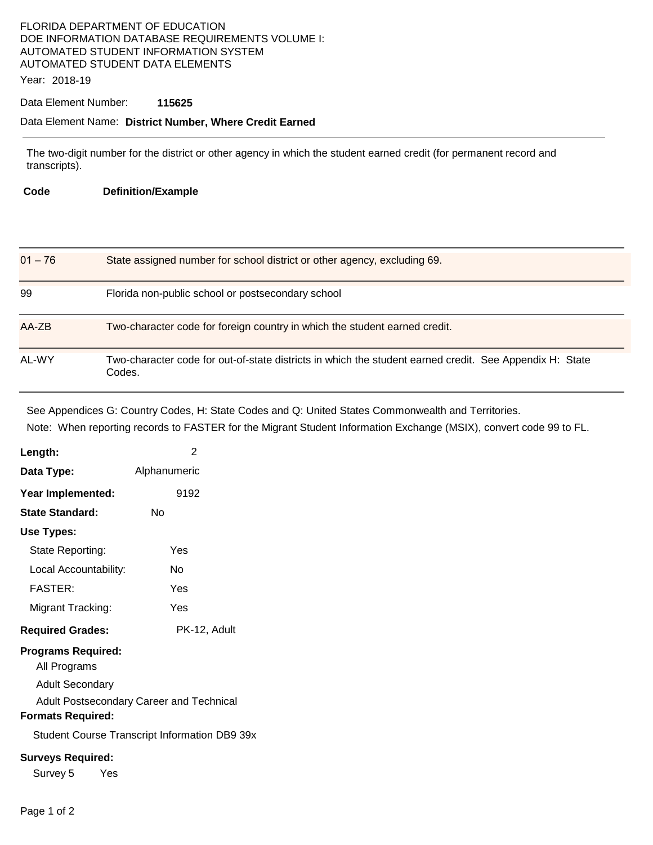# FLORIDA DEPARTMENT OF EDUCATION DOE INFORMATION DATABASE REQUIREMENTS VOLUME I: AUTOMATED STUDENT INFORMATION SYSTEM AUTOMATED STUDENT DATA ELEMENTS

Year: 2018-19

## Data Element Number: **115625**

#### Data Element Name: **District Number, Where Credit Earned**

The two-digit number for the district or other agency in which the student earned credit (for permanent record and transcripts).

**Code Definition/Example** 

| $01 - 76$ | State assigned number for school district or other agency, excluding 69.                                          |
|-----------|-------------------------------------------------------------------------------------------------------------------|
| 99        | Florida non-public school or postsecondary school                                                                 |
| AA-ZB     | Two-character code for foreign country in which the student earned credit.                                        |
| AL-WY     | Two-character code for out-of-state districts in which the student earned credit. See Appendix H: State<br>Codes. |

See Appendices G: Country Codes, H: State Codes and Q: United States Commonwealth and Territories. Note: When reporting records to FASTER for the Migrant Student Information Exchange (MSIX), convert code 99 to FL.

| Length:                                                             | 2                                                    |
|---------------------------------------------------------------------|------------------------------------------------------|
| Data Type:                                                          | Alphanumeric                                         |
| Year Implemented:                                                   | 9192                                                 |
| <b>State Standard:</b>                                              | Nο                                                   |
| Use Types:                                                          |                                                      |
| State Reporting:                                                    | Yes                                                  |
| Local Accountability:                                               | N٥                                                   |
| <b>FASTER:</b>                                                      | Yes                                                  |
| Migrant Tracking:                                                   | Yes                                                  |
| <b>Required Grades:</b>                                             | PK-12, Adult                                         |
| <b>Programs Required:</b><br>All Programs<br><b>Adult Secondary</b> | Adult Postsecondary Career and Technical             |
| <b>Formats Required:</b>                                            |                                                      |
|                                                                     | <b>Student Course Transcript Information DB9 39x</b> |
| <b>Surveys Required:</b>                                            |                                                      |
| Survey 5<br>Yes                                                     |                                                      |